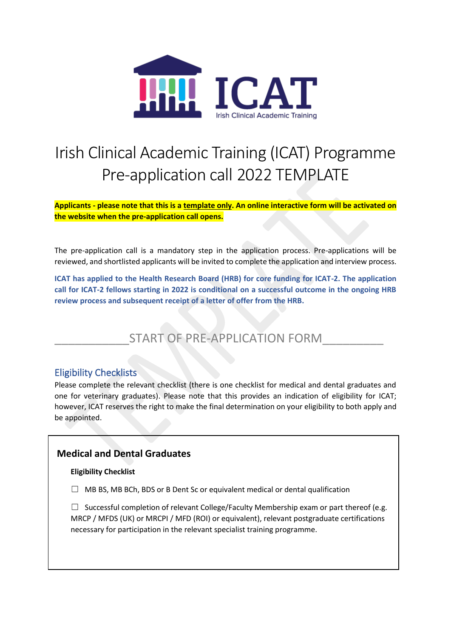

# Irish Clinical Academic Training (ICAT) Programme Pre-application call 2022 TEMPLATE

**Applicants - please note that this is a template only. An online interactive form will be activated on the website when the pre-application call opens.**

The pre-application call is a mandatory step in the application process. Pre-applications will be reviewed, and shortlisted applicants will be invited to complete the application and interview process.

**ICAT has applied to the Health Research Board (HRB) for core funding for ICAT-2. The application call for ICAT-2 fellows starting in 2022 is conditional on a successful outcome in the ongoing HRB review process and subsequent receipt of a letter of offer from the HRB.** 

# START OF PRE-APPLICATION FORM

# Eligibility Checklists

Please complete the relevant checklist (there is one checklist for medical and dental graduates and one for veterinary graduates). Please note that this provides an indication of eligibility for ICAT; however, ICAT reserves the right to make the final determination on your eligibility to both apply and be appointed.

# **Medical and Dental Graduates**

#### **Eligibility Checklist**

 $\Box$  MB BS, MB BCh, BDS or B Dent Sc or equivalent medical or dental qualification

 $\Box$  Successful completion of relevant College/Faculty Membership exam or part thereof (e.g. MRCP / MFDS (UK) or MRCPI / MFD (ROI) or equivalent), relevant postgraduate certifications necessary for participation in the relevant specialist training programme.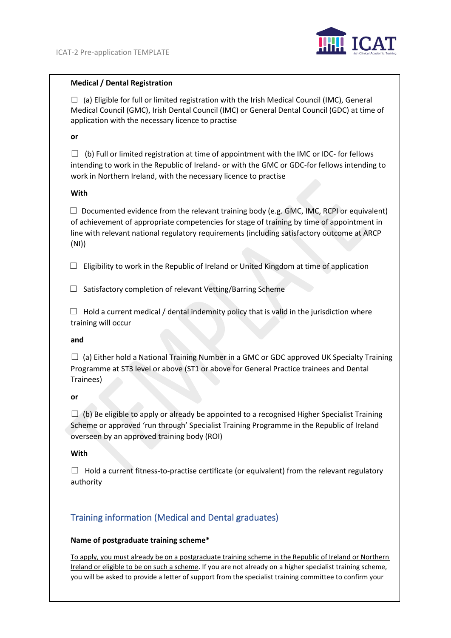

#### **Medical / Dental Registration**

 $\Box$  (a) Eligible for full or limited registration with the Irish Medical Council (IMC), General Medical Council (GMC), Irish Dental Council (IMC) or General Dental Council (GDC) at time of application with the necessary licence to practise

#### **or**

 $\Box$  (b) Full or limited registration at time of appointment with the IMC or IDC- for fellows intending to work in the Republic of Ireland- or with the GMC or GDC-for fellows intending to work in Northern Ireland, with the necessary licence to practise

#### **With**

 $\Box$  Documented evidence from the relevant training body (e.g. GMC, IMC, RCPI or equivalent) of achievement of appropriate competencies for stage of training by time of appointment in line with relevant national regulatory requirements (including satisfactory outcome at ARCP (NI))

 $\Box$  Eligibility to work in the Republic of Ireland or United Kingdom at time of application

 $\Box$  Satisfactory completion of relevant Vetting/Barring Scheme

 $\Box$  Hold a current medical / dental indemnity policy that is valid in the jurisdiction where training will occur

#### **and**

 $\Box$  (a) Either hold a National Training Number in a GMC or GDC approved UK Specialty Training Programme at ST3 level or above (ST1 or above for General Practice trainees and Dental Trainees)

#### **or**

 $\Box$  (b) Be eligible to apply or already be appointed to a recognised Higher Specialist Training Scheme or approved 'run through' Specialist Training Programme in the Republic of Ireland overseen by an approved training body (ROI)

#### **With**

 $\Box$  Hold a current fitness-to-practise certificate (or equivalent) from the relevant regulatory authority

# Training information (Medical and Dental graduates)

#### **Name of postgraduate training scheme\***

To apply, you must already be on a postgraduate training scheme in the Republic of Ireland or Northern Ireland or eligible to be on such a scheme. If you are not already on a higher specialist training scheme, you will be asked to provide a letter of support from the specialist training committee to confirm your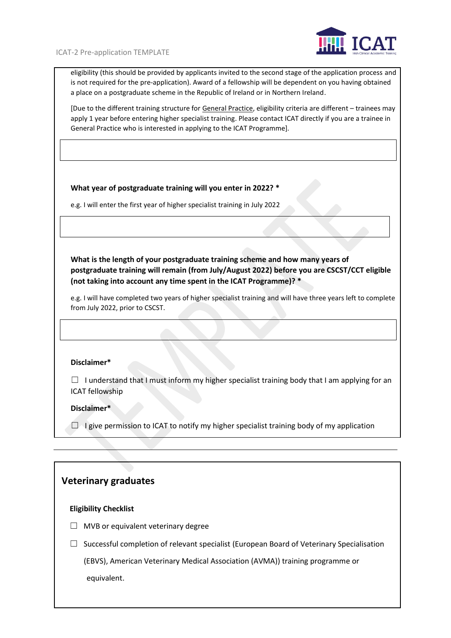

eligibility (this should be provided by applicants invited to the second stage of the application process and is not required for the pre-application). Award of a fellowship will be dependent on you having obtained a place on a postgraduate scheme in the Republic of Ireland or in Northern Ireland.

[Due to the different training structure for General Practice, eligibility criteria are different – trainees may apply 1 year before entering higher specialist training. Please contact ICAT directly if you are a trainee in General Practice who is interested in applying to the ICAT Programme].

#### **What year of postgraduate training will you enter in 2022? \***

e.g. I will enter the first year of higher specialist training in July 2022

**What is the length of your postgraduate training scheme and how many years of postgraduate training will remain (from July/August 2022) before you are CSCST/CCT eligible (not taking into account any time spent in the ICAT Programme)? \*** 

e.g. I will have completed two years of higher specialist training and will have three years left to complete from July 2022, prior to CSCST.

#### **Disclaimer\***

 $\Box$  I understand that I must inform my higher specialist training body that I am applying for an ICAT fellowship

#### **Disclaimer\***

 $\Box$  I give permission to ICAT to notify my higher specialist training body of my application

#### **Veterinary graduates**

#### **Eligibility Checklist**

- $\Box$  MVB or equivalent veterinary degree
- $\Box$  Successful completion of relevant specialist (European Board of Veterinary Specialisation

 (EBVS), American Veterinary Medical Association (AVMA)) training programme or equivalent.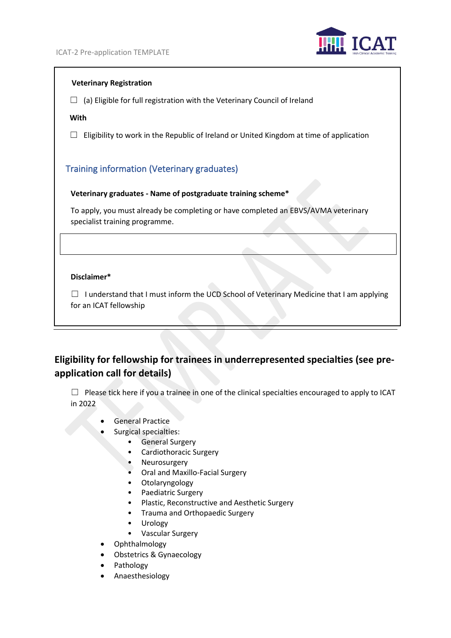

#### **Veterinary Registration**

 $\Box$  (a) Eligible for full registration with the Veterinary Council of Ireland

#### **With**

 $\Box$  Eligibility to work in the Republic of Ireland or United Kingdom at time of application

# Training information (Veterinary graduates)

#### **Veterinary graduates - Name of postgraduate training scheme\***

To apply, you must already be completing or have completed an EBVS/AVMA veterinary specialist training programme.

#### **Disclaimer\***

 $\Box$  I understand that I must inform the UCD School of Veterinary Medicine that I am applying for an ICAT fellowship

# **Eligibility for fellowship for trainees in underrepresented specialties (see preapplication call for details)**

 $\Box$  Please tick here if you a trainee in one of the clinical specialties encouraged to apply to ICAT in 2022

- General Practice
- Surgical specialties:
	- General Surgery
	- Cardiothoracic Surgery
	- **Neurosurgery**
	- Oral and Maxillo-Facial Surgery
	- Otolaryngology
	- Paediatric Surgery
	- Plastic, Reconstructive and Aesthetic Surgery
	- Trauma and Orthopaedic Surgery
	- Urology
	- Vascular Surgery
- Ophthalmology
	- Obstetrics & Gynaecology
- **Pathology**
- Anaesthesiology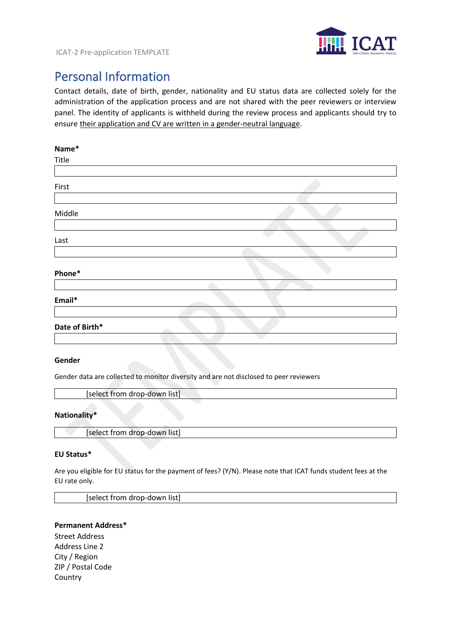

# Personal Information

Contact details, date of birth, gender, nationality and EU status data are collected solely for the administration of the application process and are not shared with the peer reviewers or interview panel. The identity of applicants is withheld during the review process and applicants should try to ensure their application and CV are written in a gender-neutral language.

| Name*          |  |
|----------------|--|
| Title          |  |
|                |  |
| First          |  |
|                |  |
| Middle         |  |
|                |  |
| Last           |  |
|                |  |
| Phone*         |  |
|                |  |
| Email*         |  |
|                |  |
| Date of Birth* |  |
|                |  |
|                |  |

#### **Gender**

Gender data are collected to monitor diversity and are not disclosed to peer reviewers

[select from drop-down list]

#### **Nationality\***

[select from drop-down list]

#### **EU Status\***

Are you eligible for EU status for the payment of fees? (Y/N). Please note that ICAT funds student fees at the EU rate only.

[select from drop-down list]

#### **Permanent Address\***

Street Address Address Line 2 City / Region ZIP / Postal Code Country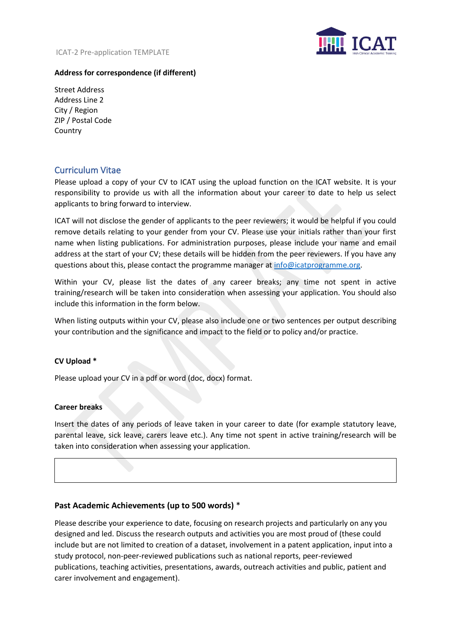

#### **Address for correspondence (if different)**

Street Address Address Line 2 City / Region ZIP / Postal Code Country

# Curriculum Vitae

Please upload a copy of your CV to ICAT using the upload function on the ICAT website. It is your responsibility to provide us with all the information about your career to date to help us select applicants to bring forward to interview.

ICAT will not disclose the gender of applicants to the peer reviewers; it would be helpful if you could remove details relating to your gender from your CV. Please use your initials rather than your first name when listing publications. For administration purposes, please include your name and email address at the start of your CV; these details will be hidden from the peer reviewers. If you have any questions about this, please contact the programme manager a[t info@icatprogramme.org.](mailto:info@icatprogramme.org)

Within your CV, please list the dates of any career breaks; any time not spent in active training/research will be taken into consideration when assessing your application. You should also include this information in the form below.

When listing outputs within your CV, please also include one or two sentences per output describing your contribution and the significance and impact to the field or to policy and/or practice.

#### **CV Upload \***

Please upload your CV in a pdf or word (doc, docx) format.

#### **Career breaks**

Insert the dates of any periods of leave taken in your career to date (for example statutory leave, parental leave, sick leave, carers leave etc.). Any time not spent in active training/research will be taken into consideration when assessing your application.

#### **Past Academic Achievements (up to 500 words)** \*

Please describe your experience to date, focusing on research projects and particularly on any you designed and led. Discuss the research outputs and activities you are most proud of (these could include but are not limited to creation of a dataset, involvement in a patent application, input into a study protocol, non-peer-reviewed publications such as national reports, peer-reviewed publications, teaching activities, presentations, awards, outreach activities and public, patient and carer involvement and engagement).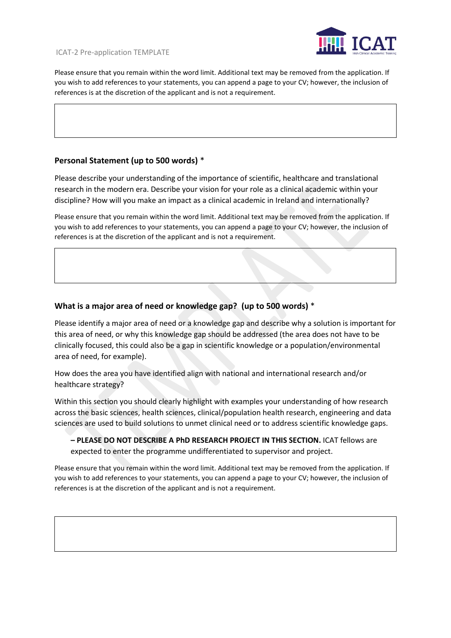

Please ensure that you remain within the word limit. Additional text may be removed from the application. If you wish to add references to your statements, you can append a page to your CV; however, the inclusion of references is at the discretion of the applicant and is not a requirement.

#### **Personal Statement (up to 500 words)** \*

Please describe your understanding of the importance of scientific, healthcare and translational research in the modern era. Describe your vision for your role as a clinical academic within your discipline? How will you make an impact as a clinical academic in Ireland and internationally?

Please ensure that you remain within the word limit. Additional text may be removed from the application. If you wish to add references to your statements, you can append a page to your CV; however, the inclusion of references is at the discretion of the applicant and is not a requirement.

### **What is a major area of need or knowledge gap? (up to 500 words)** \*

Please identify a major area of need or a knowledge gap and describe why a solution is important for this area of need, or why this knowledge gap should be addressed (the area does not have to be clinically focused, this could also be a gap in scientific knowledge or a population/environmental area of need, for example).

How does the area you have identified align with national and international research and/or healthcare strategy?

Within this section you should clearly highlight with examples your understanding of how research across the basic sciences, health sciences, clinical/population health research, engineering and data sciences are used to build solutions to unmet clinical need or to address scientific knowledge gaps.

**– PLEASE DO NOT DESCRIBE A PhD RESEARCH PROJECT IN THIS SECTION.** ICAT fellows are expected to enter the programme undifferentiated to supervisor and project.

Please ensure that you remain within the word limit. Additional text may be removed from the application. If you wish to add references to your statements, you can append a page to your CV; however, the inclusion of references is at the discretion of the applicant and is not a requirement.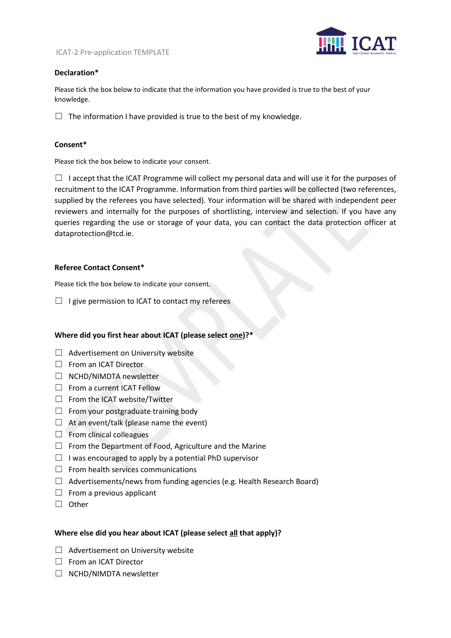

#### **Declaration\***

Please tick the box below to indicate that the information you have provided is true to the best of your knowledge.

 $\Box$  The information I have provided is true to the best of my knowledge.

#### **Consent\***

Please tick the box below to indicate your consent.

 $\Box$  I accept that the ICAT Programme will collect my personal data and will use it for the purposes of recruitment to the ICAT Programme. Information from third parties will be collected (two references, supplied by the referees you have selected). Your information will be shared with independent peer reviewers and internally for the purposes of shortlisting, interview and selection. If you have any queries regarding the use or storage of your data, you can contact the data protection officer at dataprotection@tcd.ie.

#### **Referee Contact Consent\***

Please tick the box below to indicate your consent.

 $\Box$  I give permission to ICAT to contact my referees

#### **Where did you first hear about ICAT (please select one)?\***

- ☐ Advertisement on University website
- □ From an ICAT Director
- ☐ NCHD/NIMDTA newsletter
- □ From a current ICAT Fellow
- ☐ From the ICAT website/Twitter
- $\Box$  From your postgraduate training body
- $\Box$  At an event/talk (please name the event)
- □ From clinical colleagues
- $\Box$  From the Department of Food, Agriculture and the Marine
- $\Box$  I was encouraged to apply by a potential PhD supervisor
- $\Box$  From health services communications
- $\Box$  Advertisements/news from funding agencies (e.g. Health Research Board)
- $\Box$  From a previous applicant
- ☐ Other

#### **Where else did you hear about ICAT (please select all that apply)?**

- $\Box$  Advertisement on University website
- ☐ From an ICAT Director
- ☐ NCHD/NIMDTA newsletter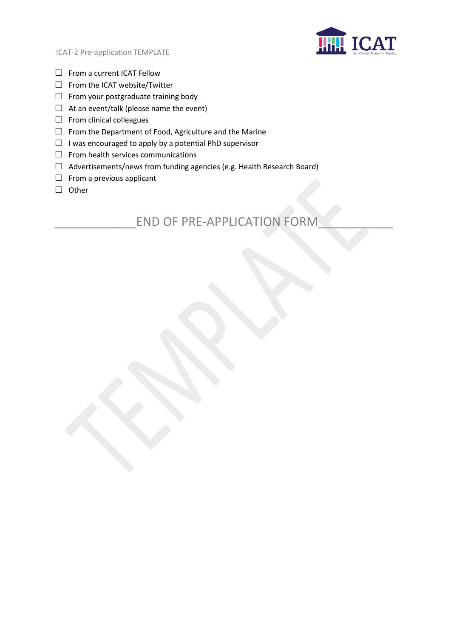

- ☐ From a current ICAT Fellow
- ☐ From the ICAT website/Twitter
- $\Box$  From your postgraduate training body
- $\Box$  At an event/talk (please name the event)
- $\Box$  From clinical colleagues
- ☐ From the Department of Food, Agriculture and the Marine
- ☐ I was encouraged to apply by a potential PhD supervisor
- $\Box$  From health services communications
- ☐ Advertisements/news from funding agencies (e.g. Health Research Board)
- $\Box$  From a previous applicant
- ☐ Other

# END OF PRE-APPLICATION FORM